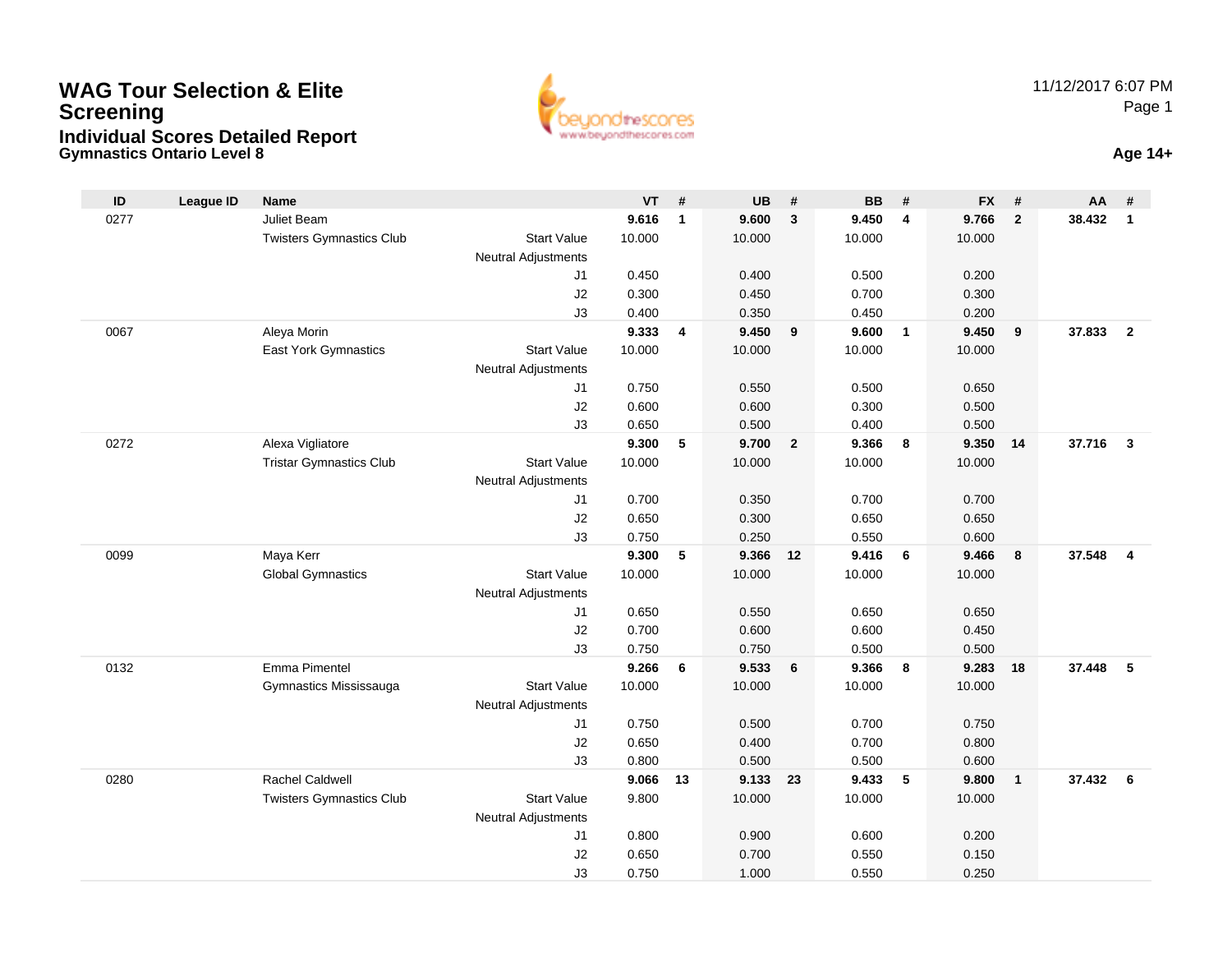#### **Gymnastics Ontario Level 8 Age 14+WAG Tour Selection & EliteScreeningIndividual Scores Detailed Report**



| $\mathsf{ID}$ | <b>League ID</b> | Name                            |                            | $VT$ #         |                | <b>UB</b>      | #              | <b>BB</b>      | #              | <b>FX</b>      | #              | AA     | #                       |
|---------------|------------------|---------------------------------|----------------------------|----------------|----------------|----------------|----------------|----------------|----------------|----------------|----------------|--------|-------------------------|
| 0277          |                  | Juliet Beam                     |                            | 9.616          | $\mathbf{1}$   | 9.600          | $\mathbf{3}$   | 9.450          | 4              | 9.766          | $\overline{2}$ | 38.432 | $\mathbf{1}$            |
|               |                  | <b>Twisters Gymnastics Club</b> | <b>Start Value</b>         | 10.000         |                | 10.000         |                | 10.000         |                | 10.000         |                |        |                         |
|               |                  |                                 | <b>Neutral Adjustments</b> |                |                |                |                |                |                |                |                |        |                         |
|               |                  |                                 | J1                         | 0.450          |                | 0.400          |                | 0.500          |                | 0.200          |                |        |                         |
|               |                  |                                 | J2                         | 0.300          |                | 0.450          |                | 0.700          |                | 0.300          |                |        |                         |
|               |                  |                                 | J3                         | 0.400          |                | 0.350          |                | 0.450          |                | 0.200          |                |        |                         |
| 0067          |                  | Aleya Morin                     |                            | 9.333          | $\overline{4}$ | 9.450          | 9              | 9.600          | $\overline{1}$ | 9.450          | 9              | 37,833 | $\overline{2}$          |
|               |                  | <b>East York Gymnastics</b>     | <b>Start Value</b>         | 10.000         |                | 10.000         |                | 10.000         |                | 10.000         |                |        |                         |
|               |                  |                                 | <b>Neutral Adjustments</b> |                |                |                |                |                |                |                |                |        |                         |
|               |                  |                                 | J1                         | 0.750          |                | 0.550          |                | 0.500          |                | 0.650          |                |        |                         |
|               |                  |                                 | J2                         | 0.600          |                | 0.600          |                | 0.300          |                | 0.500          |                |        |                         |
| 0272          |                  | Alexa Vigliatore                | J3                         | 0.650<br>9.300 | 5              | 0.500<br>9.700 | $\overline{2}$ | 0.400<br>9.366 | 8              | 0.500<br>9.350 | 14             | 37.716 | $\overline{3}$          |
|               |                  | <b>Tristar Gymnastics Club</b>  | <b>Start Value</b>         | 10.000         |                | 10.000         |                | 10.000         |                | 10.000         |                |        |                         |
|               |                  |                                 | Neutral Adjustments        |                |                |                |                |                |                |                |                |        |                         |
|               |                  |                                 | J1                         | 0.700          |                | 0.350          |                | 0.700          |                | 0.700          |                |        |                         |
|               |                  |                                 | J2                         | 0.650          |                | 0.300          |                | 0.650          |                | 0.650          |                |        |                         |
|               |                  |                                 | J3                         | 0.750          |                | 0.250          |                | 0.550          |                | 0.600          |                |        |                         |
| 0099          |                  | Maya Kerr                       |                            | 9.300          | 5              | 9.366          | 12             | 9.416          | 6              | 9.466          | 8              | 37.548 | $\overline{\mathbf{4}}$ |
|               |                  | <b>Global Gymnastics</b>        | <b>Start Value</b>         | 10.000         |                | 10.000         |                | 10.000         |                | 10.000         |                |        |                         |
|               |                  |                                 | Neutral Adjustments        |                |                |                |                |                |                |                |                |        |                         |
|               |                  |                                 | J <sub>1</sub>             | 0.650          |                | 0.550          |                | 0.650          |                | 0.650          |                |        |                         |
|               |                  |                                 | J2                         | 0.700          |                | 0.600          |                | 0.600          |                | 0.450          |                |        |                         |
|               |                  |                                 | J3                         | 0.750          |                | 0.750          |                | 0.500          |                | 0.500          |                |        |                         |
| 0132          |                  | Emma Pimentel                   |                            | 9.266          | 6              | 9.533          | 6              | 9.366          | 8              | 9.283          | 18             | 37,448 | -5                      |
|               |                  | Gymnastics Mississauga          | <b>Start Value</b>         | 10.000         |                | 10.000         |                | 10.000         |                | 10.000         |                |        |                         |
|               |                  |                                 | Neutral Adjustments        |                |                |                |                |                |                |                |                |        |                         |
|               |                  |                                 | J <sub>1</sub>             | 0.750          |                | 0.500          |                | 0.700          |                | 0.750          |                |        |                         |
|               |                  |                                 | J2                         | 0.650          |                | 0.400          |                | 0.700          |                | 0.800          |                |        |                         |
|               |                  |                                 | J3                         | 0.800          |                | 0.500          |                | 0.500          |                | 0.600          |                |        |                         |
| 0280          |                  | <b>Rachel Caldwell</b>          |                            | 9.066          | 13             | 9.133          | 23             | 9.433          | 5              | 9.800          | $\overline{1}$ | 37.432 | - 6                     |
|               |                  | <b>Twisters Gymnastics Club</b> | <b>Start Value</b>         | 9.800          |                | 10.000         |                | 10.000         |                | 10.000         |                |        |                         |
|               |                  |                                 | <b>Neutral Adjustments</b> |                |                |                |                |                |                |                |                |        |                         |
|               |                  |                                 | J1                         | 0.800          |                | 0.900          |                | 0.600          |                | 0.200          |                |        |                         |
|               |                  |                                 | J2                         | 0.650          |                | 0.700          |                | 0.550          |                | 0.150          |                |        |                         |
|               |                  |                                 | J3                         | 0.750          |                | 1.000          |                | 0.550          |                | 0.250          |                |        |                         |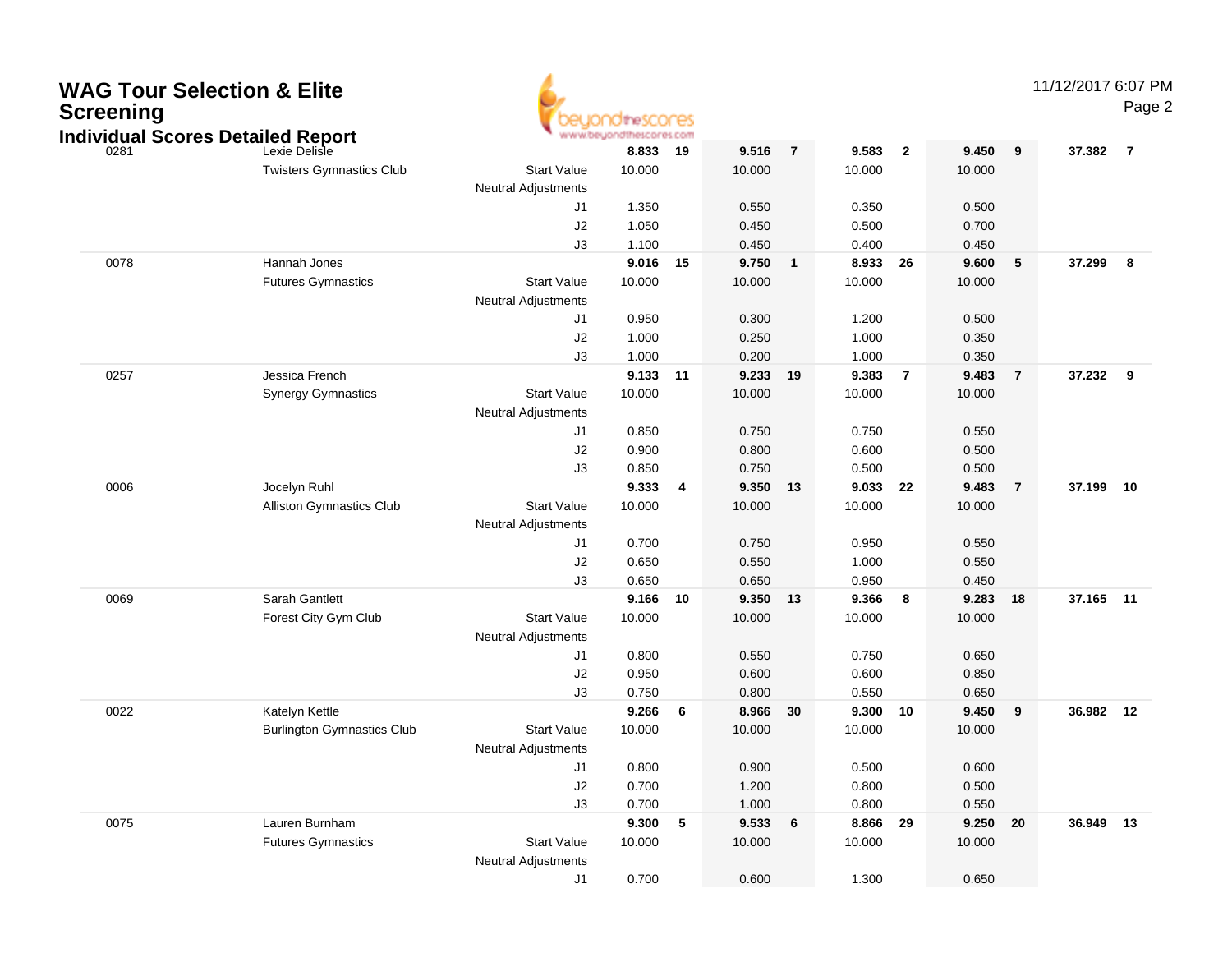| 9<br>0281<br>9.516<br>$\overline{7}$<br>9.583<br>$\overline{2}$<br>9.450<br>37.382<br>$\overline{7}$<br>Lexie Delisle<br>8.833<br>19<br><b>Start Value</b><br>10.000<br>10.000<br><b>Twisters Gymnastics Club</b><br>10.000<br>10.000<br><b>Neutral Adjustments</b><br>1.350<br>0.550<br>0.350<br>0.500<br>J1<br>J2<br>1.050<br>0.500<br>0.700<br>0.450<br>J3<br>1.100<br>0.400<br>0.450<br>0.450<br>0078<br>Hannah Jones<br>9.016<br>15<br>9.750<br>26<br>9.600<br>5<br>37.299<br>8<br>$\mathbf{1}$<br>8.933<br><b>Start Value</b><br><b>Futures Gymnastics</b><br>10.000<br>10.000<br>10.000<br>10.000<br><b>Neutral Adjustments</b><br>0.950<br>0.300<br>1.200<br>0.500<br>J1<br>J2<br>1.000<br>0.350<br>1.000<br>0.250<br>J3<br>1.000<br>1.000<br>0.200<br>0.350<br>0257<br>Jessica French<br>9.133<br>11<br>$\overline{7}$<br>9.483<br>$\overline{7}$<br>37.232<br>- 9<br>9.233<br>19<br>9.383<br><b>Start Value</b><br>10.000<br><b>Synergy Gymnastics</b><br>10.000<br>10.000<br>10.000<br><b>Neutral Adjustments</b><br>0.850<br>0.750<br>0.750<br>0.550<br>J1<br>0.900<br>0.600<br>0.500<br>J <sub>2</sub><br>0.800<br>0.850<br>0.500<br>0.500<br>J3<br>0.750<br>0006<br>Jocelyn Ruhl<br>9.333<br>9.350<br>22<br>9.483<br>$\overline{7}$<br>37.199 10<br>$\overline{\mathbf{4}}$<br>13<br>9.033<br><b>Start Value</b><br><b>Alliston Gymnastics Club</b><br>10.000<br>10.000<br>10.000<br>10.000<br><b>Neutral Adjustments</b><br>0.700<br>0.750<br>0.950<br>0.550<br>J1<br>0.650<br>0.550<br>J <sub>2</sub><br>0.550<br>1.000<br>J3<br>0.650<br>0.950<br>0.650<br>0.450<br>0069<br>Sarah Gantlett<br>9.166<br>10<br>9.350<br>8<br>9.283<br>37.165 11<br>13<br>9.366<br>18<br>Forest City Gym Club<br><b>Start Value</b><br>10.000<br>10.000<br>10.000<br>10.000<br><b>Neutral Adjustments</b><br>0.800<br>0.550<br>0.750<br>0.650<br>J1<br>0.950<br>0.600<br>0.850<br>J <sub>2</sub><br>0.600<br>J3<br>0.750<br>0.550<br>0.800<br>0.650<br>0022<br>Katelyn Kettle<br>9.266<br>6<br>9.300<br>9.450<br>36.982 12<br>8.966<br>30<br>10<br>9<br><b>Start Value</b><br><b>Burlington Gymnastics Club</b><br>10.000<br>10.000<br>10.000<br>10.000<br><b>Neutral Adjustments</b><br>0.500<br>0.600<br>0.800<br>0.900<br>J1<br>J <sub>2</sub><br>0.700<br>1.200<br>0.800<br>0.500<br>0.700<br>0.800<br>0.550<br>J3<br>1.000<br>0075<br>9.300 5<br>9.533<br>8.866 29<br>9.250 20<br>36.949 13<br>Lauren Burnham<br>6<br><b>Futures Gymnastics</b><br><b>Start Value</b><br>10.000<br>10.000<br>10.000<br>10.000<br><b>Neutral Adjustments</b> | <b>WAG Tour Selection &amp; Elite</b><br><b>Screening</b><br><b>Individual Scores Detailed Report</b> |    | OtheSCOCES<br>www.beyondthescores.com |       |       |       | 11/12/2017 6:07 PM | Page 2 |
|------------------------------------------------------------------------------------------------------------------------------------------------------------------------------------------------------------------------------------------------------------------------------------------------------------------------------------------------------------------------------------------------------------------------------------------------------------------------------------------------------------------------------------------------------------------------------------------------------------------------------------------------------------------------------------------------------------------------------------------------------------------------------------------------------------------------------------------------------------------------------------------------------------------------------------------------------------------------------------------------------------------------------------------------------------------------------------------------------------------------------------------------------------------------------------------------------------------------------------------------------------------------------------------------------------------------------------------------------------------------------------------------------------------------------------------------------------------------------------------------------------------------------------------------------------------------------------------------------------------------------------------------------------------------------------------------------------------------------------------------------------------------------------------------------------------------------------------------------------------------------------------------------------------------------------------------------------------------------------------------------------------------------------------------------------------------------------------------------------------------------------------------------------------------------------------------------------------------------------------------------------------------------------------------------------------------------------------------------------------------------------------------------------------------------------------------------------------------------------------------------------------------------------------------|-------------------------------------------------------------------------------------------------------|----|---------------------------------------|-------|-------|-------|--------------------|--------|
|                                                                                                                                                                                                                                                                                                                                                                                                                                                                                                                                                                                                                                                                                                                                                                                                                                                                                                                                                                                                                                                                                                                                                                                                                                                                                                                                                                                                                                                                                                                                                                                                                                                                                                                                                                                                                                                                                                                                                                                                                                                                                                                                                                                                                                                                                                                                                                                                                                                                                                                                                |                                                                                                       |    |                                       |       |       |       |                    |        |
|                                                                                                                                                                                                                                                                                                                                                                                                                                                                                                                                                                                                                                                                                                                                                                                                                                                                                                                                                                                                                                                                                                                                                                                                                                                                                                                                                                                                                                                                                                                                                                                                                                                                                                                                                                                                                                                                                                                                                                                                                                                                                                                                                                                                                                                                                                                                                                                                                                                                                                                                                |                                                                                                       |    |                                       |       |       |       |                    |        |
|                                                                                                                                                                                                                                                                                                                                                                                                                                                                                                                                                                                                                                                                                                                                                                                                                                                                                                                                                                                                                                                                                                                                                                                                                                                                                                                                                                                                                                                                                                                                                                                                                                                                                                                                                                                                                                                                                                                                                                                                                                                                                                                                                                                                                                                                                                                                                                                                                                                                                                                                                |                                                                                                       |    |                                       |       |       |       |                    |        |
|                                                                                                                                                                                                                                                                                                                                                                                                                                                                                                                                                                                                                                                                                                                                                                                                                                                                                                                                                                                                                                                                                                                                                                                                                                                                                                                                                                                                                                                                                                                                                                                                                                                                                                                                                                                                                                                                                                                                                                                                                                                                                                                                                                                                                                                                                                                                                                                                                                                                                                                                                |                                                                                                       |    |                                       |       |       |       |                    |        |
|                                                                                                                                                                                                                                                                                                                                                                                                                                                                                                                                                                                                                                                                                                                                                                                                                                                                                                                                                                                                                                                                                                                                                                                                                                                                                                                                                                                                                                                                                                                                                                                                                                                                                                                                                                                                                                                                                                                                                                                                                                                                                                                                                                                                                                                                                                                                                                                                                                                                                                                                                |                                                                                                       |    |                                       |       |       |       |                    |        |
|                                                                                                                                                                                                                                                                                                                                                                                                                                                                                                                                                                                                                                                                                                                                                                                                                                                                                                                                                                                                                                                                                                                                                                                                                                                                                                                                                                                                                                                                                                                                                                                                                                                                                                                                                                                                                                                                                                                                                                                                                                                                                                                                                                                                                                                                                                                                                                                                                                                                                                                                                |                                                                                                       |    |                                       |       |       |       |                    |        |
|                                                                                                                                                                                                                                                                                                                                                                                                                                                                                                                                                                                                                                                                                                                                                                                                                                                                                                                                                                                                                                                                                                                                                                                                                                                                                                                                                                                                                                                                                                                                                                                                                                                                                                                                                                                                                                                                                                                                                                                                                                                                                                                                                                                                                                                                                                                                                                                                                                                                                                                                                |                                                                                                       |    |                                       |       |       |       |                    |        |
|                                                                                                                                                                                                                                                                                                                                                                                                                                                                                                                                                                                                                                                                                                                                                                                                                                                                                                                                                                                                                                                                                                                                                                                                                                                                                                                                                                                                                                                                                                                                                                                                                                                                                                                                                                                                                                                                                                                                                                                                                                                                                                                                                                                                                                                                                                                                                                                                                                                                                                                                                |                                                                                                       |    |                                       |       |       |       |                    |        |
|                                                                                                                                                                                                                                                                                                                                                                                                                                                                                                                                                                                                                                                                                                                                                                                                                                                                                                                                                                                                                                                                                                                                                                                                                                                                                                                                                                                                                                                                                                                                                                                                                                                                                                                                                                                                                                                                                                                                                                                                                                                                                                                                                                                                                                                                                                                                                                                                                                                                                                                                                |                                                                                                       |    |                                       |       |       |       |                    |        |
|                                                                                                                                                                                                                                                                                                                                                                                                                                                                                                                                                                                                                                                                                                                                                                                                                                                                                                                                                                                                                                                                                                                                                                                                                                                                                                                                                                                                                                                                                                                                                                                                                                                                                                                                                                                                                                                                                                                                                                                                                                                                                                                                                                                                                                                                                                                                                                                                                                                                                                                                                |                                                                                                       |    |                                       |       |       |       |                    |        |
|                                                                                                                                                                                                                                                                                                                                                                                                                                                                                                                                                                                                                                                                                                                                                                                                                                                                                                                                                                                                                                                                                                                                                                                                                                                                                                                                                                                                                                                                                                                                                                                                                                                                                                                                                                                                                                                                                                                                                                                                                                                                                                                                                                                                                                                                                                                                                                                                                                                                                                                                                |                                                                                                       |    |                                       |       |       |       |                    |        |
|                                                                                                                                                                                                                                                                                                                                                                                                                                                                                                                                                                                                                                                                                                                                                                                                                                                                                                                                                                                                                                                                                                                                                                                                                                                                                                                                                                                                                                                                                                                                                                                                                                                                                                                                                                                                                                                                                                                                                                                                                                                                                                                                                                                                                                                                                                                                                                                                                                                                                                                                                |                                                                                                       |    |                                       |       |       |       |                    |        |
|                                                                                                                                                                                                                                                                                                                                                                                                                                                                                                                                                                                                                                                                                                                                                                                                                                                                                                                                                                                                                                                                                                                                                                                                                                                                                                                                                                                                                                                                                                                                                                                                                                                                                                                                                                                                                                                                                                                                                                                                                                                                                                                                                                                                                                                                                                                                                                                                                                                                                                                                                |                                                                                                       |    |                                       |       |       |       |                    |        |
|                                                                                                                                                                                                                                                                                                                                                                                                                                                                                                                                                                                                                                                                                                                                                                                                                                                                                                                                                                                                                                                                                                                                                                                                                                                                                                                                                                                                                                                                                                                                                                                                                                                                                                                                                                                                                                                                                                                                                                                                                                                                                                                                                                                                                                                                                                                                                                                                                                                                                                                                                |                                                                                                       |    |                                       |       |       |       |                    |        |
|                                                                                                                                                                                                                                                                                                                                                                                                                                                                                                                                                                                                                                                                                                                                                                                                                                                                                                                                                                                                                                                                                                                                                                                                                                                                                                                                                                                                                                                                                                                                                                                                                                                                                                                                                                                                                                                                                                                                                                                                                                                                                                                                                                                                                                                                                                                                                                                                                                                                                                                                                |                                                                                                       |    |                                       |       |       |       |                    |        |
|                                                                                                                                                                                                                                                                                                                                                                                                                                                                                                                                                                                                                                                                                                                                                                                                                                                                                                                                                                                                                                                                                                                                                                                                                                                                                                                                                                                                                                                                                                                                                                                                                                                                                                                                                                                                                                                                                                                                                                                                                                                                                                                                                                                                                                                                                                                                                                                                                                                                                                                                                |                                                                                                       |    |                                       |       |       |       |                    |        |
|                                                                                                                                                                                                                                                                                                                                                                                                                                                                                                                                                                                                                                                                                                                                                                                                                                                                                                                                                                                                                                                                                                                                                                                                                                                                                                                                                                                                                                                                                                                                                                                                                                                                                                                                                                                                                                                                                                                                                                                                                                                                                                                                                                                                                                                                                                                                                                                                                                                                                                                                                |                                                                                                       |    |                                       |       |       |       |                    |        |
|                                                                                                                                                                                                                                                                                                                                                                                                                                                                                                                                                                                                                                                                                                                                                                                                                                                                                                                                                                                                                                                                                                                                                                                                                                                                                                                                                                                                                                                                                                                                                                                                                                                                                                                                                                                                                                                                                                                                                                                                                                                                                                                                                                                                                                                                                                                                                                                                                                                                                                                                                |                                                                                                       |    |                                       |       |       |       |                    |        |
|                                                                                                                                                                                                                                                                                                                                                                                                                                                                                                                                                                                                                                                                                                                                                                                                                                                                                                                                                                                                                                                                                                                                                                                                                                                                                                                                                                                                                                                                                                                                                                                                                                                                                                                                                                                                                                                                                                                                                                                                                                                                                                                                                                                                                                                                                                                                                                                                                                                                                                                                                |                                                                                                       |    |                                       |       |       |       |                    |        |
|                                                                                                                                                                                                                                                                                                                                                                                                                                                                                                                                                                                                                                                                                                                                                                                                                                                                                                                                                                                                                                                                                                                                                                                                                                                                                                                                                                                                                                                                                                                                                                                                                                                                                                                                                                                                                                                                                                                                                                                                                                                                                                                                                                                                                                                                                                                                                                                                                                                                                                                                                |                                                                                                       |    |                                       |       |       |       |                    |        |
|                                                                                                                                                                                                                                                                                                                                                                                                                                                                                                                                                                                                                                                                                                                                                                                                                                                                                                                                                                                                                                                                                                                                                                                                                                                                                                                                                                                                                                                                                                                                                                                                                                                                                                                                                                                                                                                                                                                                                                                                                                                                                                                                                                                                                                                                                                                                                                                                                                                                                                                                                |                                                                                                       |    |                                       |       |       |       |                    |        |
|                                                                                                                                                                                                                                                                                                                                                                                                                                                                                                                                                                                                                                                                                                                                                                                                                                                                                                                                                                                                                                                                                                                                                                                                                                                                                                                                                                                                                                                                                                                                                                                                                                                                                                                                                                                                                                                                                                                                                                                                                                                                                                                                                                                                                                                                                                                                                                                                                                                                                                                                                |                                                                                                       |    |                                       |       |       |       |                    |        |
|                                                                                                                                                                                                                                                                                                                                                                                                                                                                                                                                                                                                                                                                                                                                                                                                                                                                                                                                                                                                                                                                                                                                                                                                                                                                                                                                                                                                                                                                                                                                                                                                                                                                                                                                                                                                                                                                                                                                                                                                                                                                                                                                                                                                                                                                                                                                                                                                                                                                                                                                                |                                                                                                       |    |                                       |       |       |       |                    |        |
|                                                                                                                                                                                                                                                                                                                                                                                                                                                                                                                                                                                                                                                                                                                                                                                                                                                                                                                                                                                                                                                                                                                                                                                                                                                                                                                                                                                                                                                                                                                                                                                                                                                                                                                                                                                                                                                                                                                                                                                                                                                                                                                                                                                                                                                                                                                                                                                                                                                                                                                                                |                                                                                                       |    |                                       |       |       |       |                    |        |
|                                                                                                                                                                                                                                                                                                                                                                                                                                                                                                                                                                                                                                                                                                                                                                                                                                                                                                                                                                                                                                                                                                                                                                                                                                                                                                                                                                                                                                                                                                                                                                                                                                                                                                                                                                                                                                                                                                                                                                                                                                                                                                                                                                                                                                                                                                                                                                                                                                                                                                                                                |                                                                                                       |    |                                       |       |       |       |                    |        |
|                                                                                                                                                                                                                                                                                                                                                                                                                                                                                                                                                                                                                                                                                                                                                                                                                                                                                                                                                                                                                                                                                                                                                                                                                                                                                                                                                                                                                                                                                                                                                                                                                                                                                                                                                                                                                                                                                                                                                                                                                                                                                                                                                                                                                                                                                                                                                                                                                                                                                                                                                |                                                                                                       |    |                                       |       |       |       |                    |        |
|                                                                                                                                                                                                                                                                                                                                                                                                                                                                                                                                                                                                                                                                                                                                                                                                                                                                                                                                                                                                                                                                                                                                                                                                                                                                                                                                                                                                                                                                                                                                                                                                                                                                                                                                                                                                                                                                                                                                                                                                                                                                                                                                                                                                                                                                                                                                                                                                                                                                                                                                                |                                                                                                       |    |                                       |       |       |       |                    |        |
|                                                                                                                                                                                                                                                                                                                                                                                                                                                                                                                                                                                                                                                                                                                                                                                                                                                                                                                                                                                                                                                                                                                                                                                                                                                                                                                                                                                                                                                                                                                                                                                                                                                                                                                                                                                                                                                                                                                                                                                                                                                                                                                                                                                                                                                                                                                                                                                                                                                                                                                                                |                                                                                                       |    |                                       |       |       |       |                    |        |
|                                                                                                                                                                                                                                                                                                                                                                                                                                                                                                                                                                                                                                                                                                                                                                                                                                                                                                                                                                                                                                                                                                                                                                                                                                                                                                                                                                                                                                                                                                                                                                                                                                                                                                                                                                                                                                                                                                                                                                                                                                                                                                                                                                                                                                                                                                                                                                                                                                                                                                                                                |                                                                                                       |    |                                       |       |       |       |                    |        |
|                                                                                                                                                                                                                                                                                                                                                                                                                                                                                                                                                                                                                                                                                                                                                                                                                                                                                                                                                                                                                                                                                                                                                                                                                                                                                                                                                                                                                                                                                                                                                                                                                                                                                                                                                                                                                                                                                                                                                                                                                                                                                                                                                                                                                                                                                                                                                                                                                                                                                                                                                |                                                                                                       |    |                                       |       |       |       |                    |        |
|                                                                                                                                                                                                                                                                                                                                                                                                                                                                                                                                                                                                                                                                                                                                                                                                                                                                                                                                                                                                                                                                                                                                                                                                                                                                                                                                                                                                                                                                                                                                                                                                                                                                                                                                                                                                                                                                                                                                                                                                                                                                                                                                                                                                                                                                                                                                                                                                                                                                                                                                                |                                                                                                       |    |                                       |       |       |       |                    |        |
|                                                                                                                                                                                                                                                                                                                                                                                                                                                                                                                                                                                                                                                                                                                                                                                                                                                                                                                                                                                                                                                                                                                                                                                                                                                                                                                                                                                                                                                                                                                                                                                                                                                                                                                                                                                                                                                                                                                                                                                                                                                                                                                                                                                                                                                                                                                                                                                                                                                                                                                                                |                                                                                                       |    |                                       |       |       |       |                    |        |
|                                                                                                                                                                                                                                                                                                                                                                                                                                                                                                                                                                                                                                                                                                                                                                                                                                                                                                                                                                                                                                                                                                                                                                                                                                                                                                                                                                                                                                                                                                                                                                                                                                                                                                                                                                                                                                                                                                                                                                                                                                                                                                                                                                                                                                                                                                                                                                                                                                                                                                                                                |                                                                                                       |    |                                       |       |       |       |                    |        |
|                                                                                                                                                                                                                                                                                                                                                                                                                                                                                                                                                                                                                                                                                                                                                                                                                                                                                                                                                                                                                                                                                                                                                                                                                                                                                                                                                                                                                                                                                                                                                                                                                                                                                                                                                                                                                                                                                                                                                                                                                                                                                                                                                                                                                                                                                                                                                                                                                                                                                                                                                |                                                                                                       |    |                                       |       |       |       |                    |        |
|                                                                                                                                                                                                                                                                                                                                                                                                                                                                                                                                                                                                                                                                                                                                                                                                                                                                                                                                                                                                                                                                                                                                                                                                                                                                                                                                                                                                                                                                                                                                                                                                                                                                                                                                                                                                                                                                                                                                                                                                                                                                                                                                                                                                                                                                                                                                                                                                                                                                                                                                                |                                                                                                       |    |                                       |       |       |       |                    |        |
|                                                                                                                                                                                                                                                                                                                                                                                                                                                                                                                                                                                                                                                                                                                                                                                                                                                                                                                                                                                                                                                                                                                                                                                                                                                                                                                                                                                                                                                                                                                                                                                                                                                                                                                                                                                                                                                                                                                                                                                                                                                                                                                                                                                                                                                                                                                                                                                                                                                                                                                                                |                                                                                                       |    |                                       |       |       |       |                    |        |
|                                                                                                                                                                                                                                                                                                                                                                                                                                                                                                                                                                                                                                                                                                                                                                                                                                                                                                                                                                                                                                                                                                                                                                                                                                                                                                                                                                                                                                                                                                                                                                                                                                                                                                                                                                                                                                                                                                                                                                                                                                                                                                                                                                                                                                                                                                                                                                                                                                                                                                                                                |                                                                                                       |    |                                       |       |       |       |                    |        |
|                                                                                                                                                                                                                                                                                                                                                                                                                                                                                                                                                                                                                                                                                                                                                                                                                                                                                                                                                                                                                                                                                                                                                                                                                                                                                                                                                                                                                                                                                                                                                                                                                                                                                                                                                                                                                                                                                                                                                                                                                                                                                                                                                                                                                                                                                                                                                                                                                                                                                                                                                |                                                                                                       |    |                                       |       |       |       |                    |        |
|                                                                                                                                                                                                                                                                                                                                                                                                                                                                                                                                                                                                                                                                                                                                                                                                                                                                                                                                                                                                                                                                                                                                                                                                                                                                                                                                                                                                                                                                                                                                                                                                                                                                                                                                                                                                                                                                                                                                                                                                                                                                                                                                                                                                                                                                                                                                                                                                                                                                                                                                                |                                                                                                       |    |                                       |       |       |       |                    |        |
|                                                                                                                                                                                                                                                                                                                                                                                                                                                                                                                                                                                                                                                                                                                                                                                                                                                                                                                                                                                                                                                                                                                                                                                                                                                                                                                                                                                                                                                                                                                                                                                                                                                                                                                                                                                                                                                                                                                                                                                                                                                                                                                                                                                                                                                                                                                                                                                                                                                                                                                                                |                                                                                                       | J1 | 0.700                                 | 0.600 | 1.300 | 0.650 |                    |        |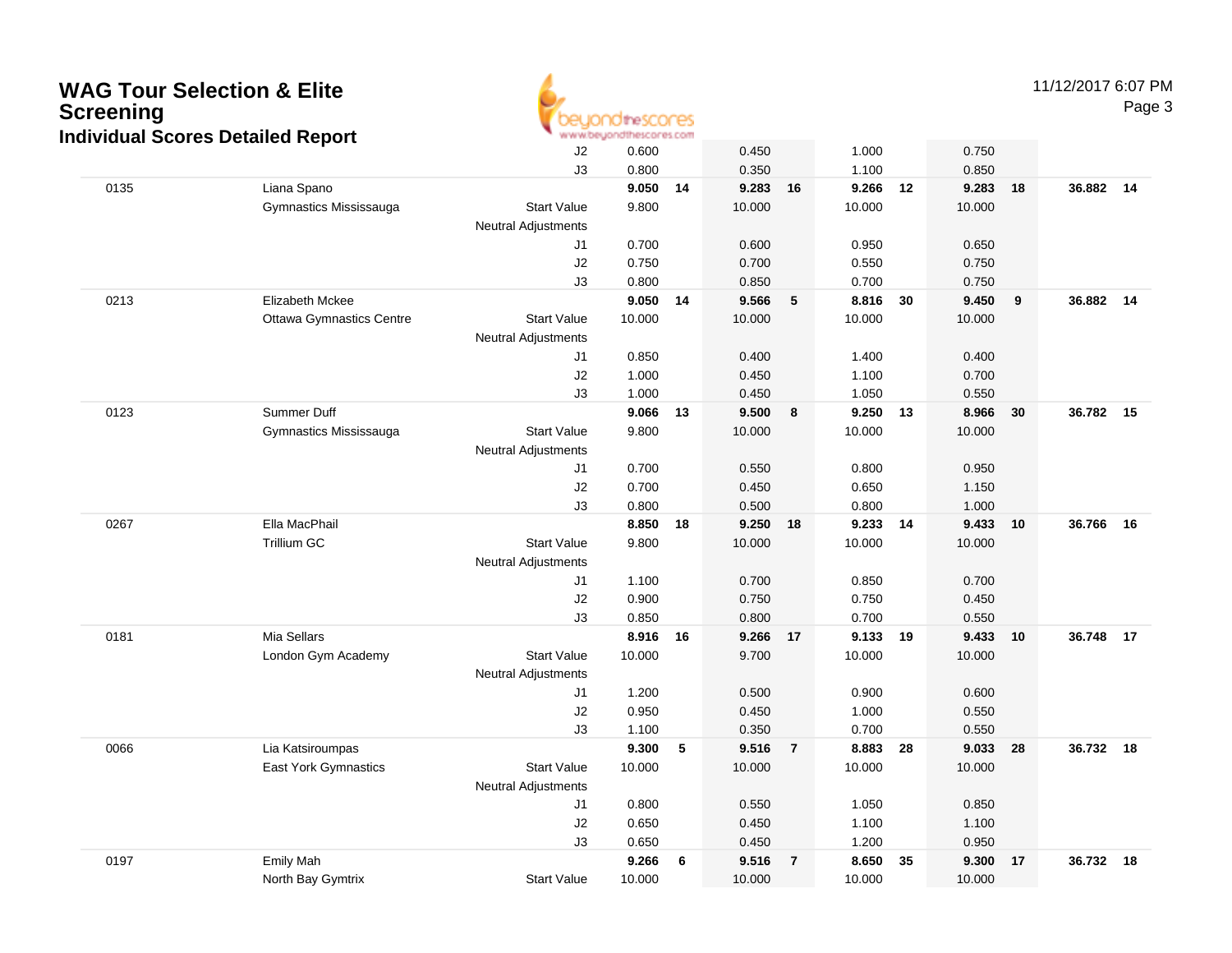

11/12/2017 6:07 PM

Page 3

|      |                                 | J2                         | 0.600          |    | 0.450          |                | 1.000          |    | 0.750          |    |           |    |
|------|---------------------------------|----------------------------|----------------|----|----------------|----------------|----------------|----|----------------|----|-----------|----|
|      |                                 | J3                         | 0.800          |    | 0.350          |                | 1.100          |    | 0.850          |    |           |    |
| 0135 | Liana Spano                     |                            | 9.050          | 14 | 9.283          | 16             | 9.266          | 12 | 9.283          | 18 | 36.882    | 14 |
|      | Gymnastics Mississauga          | <b>Start Value</b>         | 9.800          |    | 10.000         |                | 10.000         |    | 10.000         |    |           |    |
|      |                                 | <b>Neutral Adjustments</b> |                |    |                |                |                |    |                |    |           |    |
|      |                                 | J1                         | 0.700          |    | 0.600          |                | 0.950          |    | 0.650          |    |           |    |
|      |                                 | J2                         | 0.750          |    | 0.700          |                | 0.550          |    | 0.750          |    |           |    |
|      |                                 | J3                         | 0.800          |    | 0.850          |                | 0.700          |    | 0.750          |    |           |    |
| 0213 | <b>Elizabeth Mckee</b>          |                            | 9.050          | 14 | 9.566          | 5              | 8.816 30       |    | 9.450          | 9  | 36.882 14 |    |
|      | <b>Ottawa Gymnastics Centre</b> | <b>Start Value</b>         | 10.000         |    | 10.000         |                | 10.000         |    | 10.000         |    |           |    |
|      |                                 | Neutral Adjustments        |                |    |                |                |                |    |                |    |           |    |
|      |                                 | J1                         | 0.850          |    | 0.400          |                | 1.400          |    | 0.400          |    |           |    |
|      |                                 | J2                         | 1.000          |    | 0.450          |                | 1.100          |    | 0.700          |    |           |    |
|      |                                 | J3                         | 1.000          |    | 0.450          |                | 1.050          |    | 0.550          |    |           |    |
| 0123 | Summer Duff                     |                            | 9.066          | 13 | 9.500          | 8              | 9.250          | 13 | 8.966          | 30 | 36.782 15 |    |
|      | Gymnastics Mississauga          | <b>Start Value</b>         | 9.800          |    | 10.000         |                | 10.000         |    | 10.000         |    |           |    |
|      |                                 | <b>Neutral Adjustments</b> |                |    |                |                |                |    |                |    |           |    |
|      |                                 | J1                         | 0.700          |    | 0.550          |                | 0.800          |    | 0.950          |    |           |    |
|      |                                 | J2                         | 0.700          |    | 0.450          |                | 0.650          |    | 1.150          |    |           |    |
|      | Ella MacPhail                   | J3                         | 0.800<br>8.850 |    | 0.500<br>9.250 |                | 0.800<br>9.233 | 14 | 1.000<br>9.433 |    | 36.766    |    |
| 0267 | <b>Trillium GC</b>              | <b>Start Value</b>         | 9.800          | 18 | 10.000         | 18             | 10.000         |    | 10.000         | 10 |           | 16 |
|      |                                 | <b>Neutral Adjustments</b> |                |    |                |                |                |    |                |    |           |    |
|      |                                 | J1                         | 1.100          |    | 0.700          |                | 0.850          |    | 0.700          |    |           |    |
|      |                                 | J2                         | 0.900          |    | 0.750          |                | 0.750          |    | 0.450          |    |           |    |
|      |                                 | J3                         | 0.850          |    | 0.800          |                | 0.700          |    | 0.550          |    |           |    |
| 0181 | Mia Sellars                     |                            | 8.916          | 16 | 9.266 17       |                | 9.133 19       |    | 9.433 10       |    | 36.748    | 17 |
|      | London Gym Academy              | <b>Start Value</b>         | 10.000         |    | 9.700          |                | 10.000         |    | 10.000         |    |           |    |
|      |                                 | Neutral Adjustments        |                |    |                |                |                |    |                |    |           |    |
|      |                                 | J1                         | 1.200          |    | 0.500          |                | 0.900          |    | 0.600          |    |           |    |
|      |                                 | J2                         | 0.950          |    | 0.450          |                | 1.000          |    | 0.550          |    |           |    |
|      |                                 | J3                         | 1.100          |    | 0.350          |                | 0.700          |    | 0.550          |    |           |    |
| 0066 | Lia Katsiroumpas                |                            | 9.300          | 5  | 9.516          | $\overline{7}$ | 8.883          | 28 | 9.033          | 28 | 36.732    | 18 |
|      | East York Gymnastics            | <b>Start Value</b>         | 10.000         |    | 10.000         |                | 10.000         |    | 10.000         |    |           |    |
|      |                                 | <b>Neutral Adjustments</b> |                |    |                |                |                |    |                |    |           |    |
|      |                                 | J1                         | 0.800          |    | 0.550          |                | 1.050          |    | 0.850          |    |           |    |
|      |                                 | $\sf J2$                   | 0.650          |    | 0.450          |                | 1.100          |    | 1.100          |    |           |    |
|      |                                 | J3                         | 0.650          |    | 0.450          |                | 1.200          |    | 0.950          |    |           |    |
| 0197 | <b>Emily Mah</b>                |                            | 9.266          | 6  | 9.516          | $\overline{7}$ | 8.650          | 35 | 9.300          | 17 | 36.732    | 18 |
|      | North Bay Gymtrix               | <b>Start Value</b>         | 10.000         |    | 10.000         |                | 10.000         |    | 10.000         |    |           |    |
|      |                                 |                            |                |    |                |                |                |    |                |    |           |    |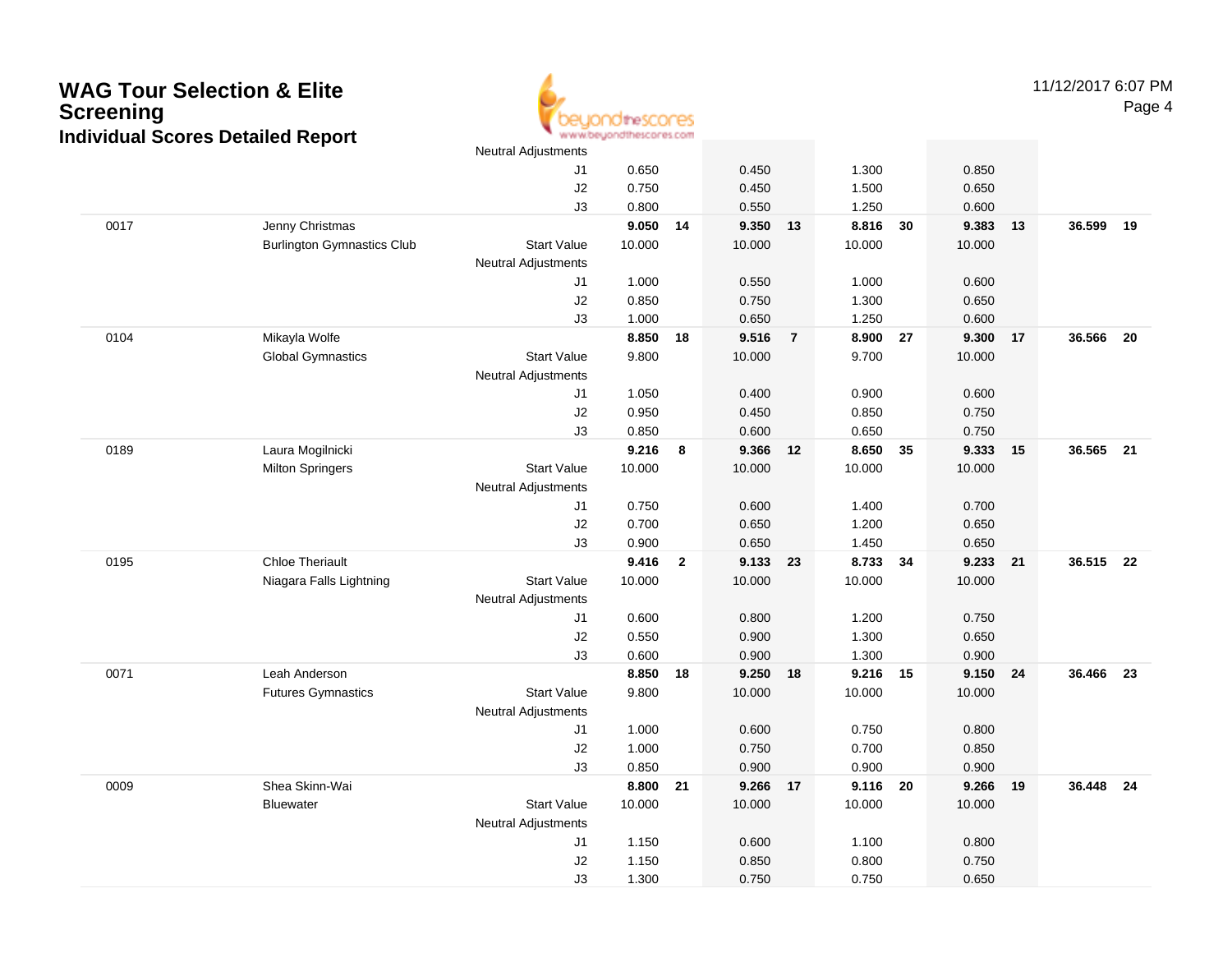

11/12/2017 6:07 PMPage 4

|      |                                   | <b>Neutral Adjustments</b> |                |                |                |                |                   |    |                   |    |        |    |
|------|-----------------------------------|----------------------------|----------------|----------------|----------------|----------------|-------------------|----|-------------------|----|--------|----|
|      |                                   | J1                         | 0.650          |                | 0.450          |                | 1.300             |    | 0.850             |    |        |    |
|      |                                   | J2                         | 0.750          |                | 0.450          |                | 1.500             |    | 0.650             |    |        |    |
|      |                                   | J3                         | 0.800          |                | 0.550          |                | 1.250             |    | 0.600             |    |        |    |
| 0017 | Jenny Christmas                   |                            | 9.050          | 14             | 9.350          | 13             | 8.816             | 30 | 9.383             | 13 | 36.599 | 19 |
|      | <b>Burlington Gymnastics Club</b> | <b>Start Value</b>         | 10.000         |                | 10.000         |                | 10.000            |    | 10.000            |    |        |    |
|      |                                   | <b>Neutral Adjustments</b> |                |                |                |                |                   |    |                   |    |        |    |
|      |                                   | J1                         | 1.000          |                | 0.550          |                | 1.000             |    | 0.600             |    |        |    |
|      |                                   | J2                         | 0.850          |                | 0.750          |                | 1.300             |    | 0.650             |    |        |    |
|      |                                   | J3                         | 1.000          |                | 0.650          |                | 1.250             |    | 0.600             |    |        |    |
| 0104 | Mikayla Wolfe                     |                            | 8.850          | 18             | 9.516          | $\overline{7}$ | 8.900 27          |    | 9.300             | 17 | 36.566 | 20 |
|      | <b>Global Gymnastics</b>          | <b>Start Value</b>         | 9.800          |                | 10.000         |                | 9.700             |    | 10.000            |    |        |    |
|      |                                   | <b>Neutral Adjustments</b> |                |                |                |                |                   |    |                   |    |        |    |
|      |                                   | J1                         | 1.050          |                | 0.400          |                | 0.900             |    | 0.600             |    |        |    |
|      |                                   | J2                         | 0.950          |                | 0.450          |                | 0.850             |    | 0.750             |    |        |    |
|      |                                   | J3                         | 0.850          |                | 0.600          |                | 0.650             |    | 0.750             |    |        |    |
| 0189 | Laura Mogilnicki                  |                            | 9.216          | 8              | 9.366          | 12             | 8.650             | 35 | 9.333             | 15 | 36.565 | 21 |
|      | <b>Milton Springers</b>           | <b>Start Value</b>         | 10.000         |                | 10.000         |                | 10.000            |    | 10.000            |    |        |    |
|      |                                   | <b>Neutral Adjustments</b> |                |                |                |                |                   |    |                   |    |        |    |
|      |                                   | J1                         | 0.750          |                | 0.600          |                | 1.400             |    | 0.700             |    |        |    |
|      |                                   | J2                         | 0.700          |                | 0.650          |                | 1.200             |    | 0.650             |    |        |    |
|      |                                   | J3                         | 0.900          |                | 0.650          |                | 1.450             |    | 0.650             |    |        |    |
| 0195 | <b>Chloe Theriault</b>            |                            | 9.416          | $\overline{2}$ | 9.133          | 23             | 8.733 34          |    | 9.233             | 21 | 36.515 | 22 |
|      | Niagara Falls Lightning           | <b>Start Value</b>         | 10.000         |                | 10.000         |                | 10.000            |    | 10.000            |    |        |    |
|      |                                   | <b>Neutral Adjustments</b> |                |                |                |                |                   |    |                   |    |        |    |
|      |                                   | J1                         | 0.600          |                | 0.800          |                | 1.200             |    | 0.750             |    |        |    |
|      |                                   | J2                         | 0.550          |                | 0.900          |                | 1.300             |    | 0.650             |    |        |    |
|      | Leah Anderson                     | J3                         | 0.600<br>8.850 | 18             | 0.900<br>9.250 | 18             | 1.300<br>9.216 15 |    | 0.900<br>9.150 24 |    | 36.466 | 23 |
| 0071 | <b>Futures Gymnastics</b>         | <b>Start Value</b>         | 9.800          |                | 10.000         |                | 10.000            |    | 10.000            |    |        |    |
|      |                                   | <b>Neutral Adjustments</b> |                |                |                |                |                   |    |                   |    |        |    |
|      |                                   | J1                         | 1.000          |                | 0.600          |                | 0.750             |    | 0.800             |    |        |    |
|      |                                   | J2                         | 1.000          |                | 0.750          |                | 0.700             |    | 0.850             |    |        |    |
|      |                                   | J3                         | 0.850          |                | 0.900          |                | 0.900             |    | 0.900             |    |        |    |
| 0009 | Shea Skinn-Wai                    |                            | 8.800          | 21             | 9.266 17       |                | 9.116 20          |    | 9.266             | 19 | 36.448 | 24 |
|      | <b>Bluewater</b>                  | <b>Start Value</b>         | 10.000         |                | 10.000         |                | 10.000            |    | 10.000            |    |        |    |
|      |                                   | <b>Neutral Adjustments</b> |                |                |                |                |                   |    |                   |    |        |    |
|      |                                   | J1                         | 1.150          |                | 0.600          |                | 1.100             |    | 0.800             |    |        |    |
|      |                                   | J2                         | 1.150          |                | 0.850          |                | 0.800             |    | 0.750             |    |        |    |
|      |                                   | J3                         | 1.300          |                | 0.750          |                | 0.750             |    | 0.650             |    |        |    |
|      |                                   |                            |                |                |                |                |                   |    |                   |    |        |    |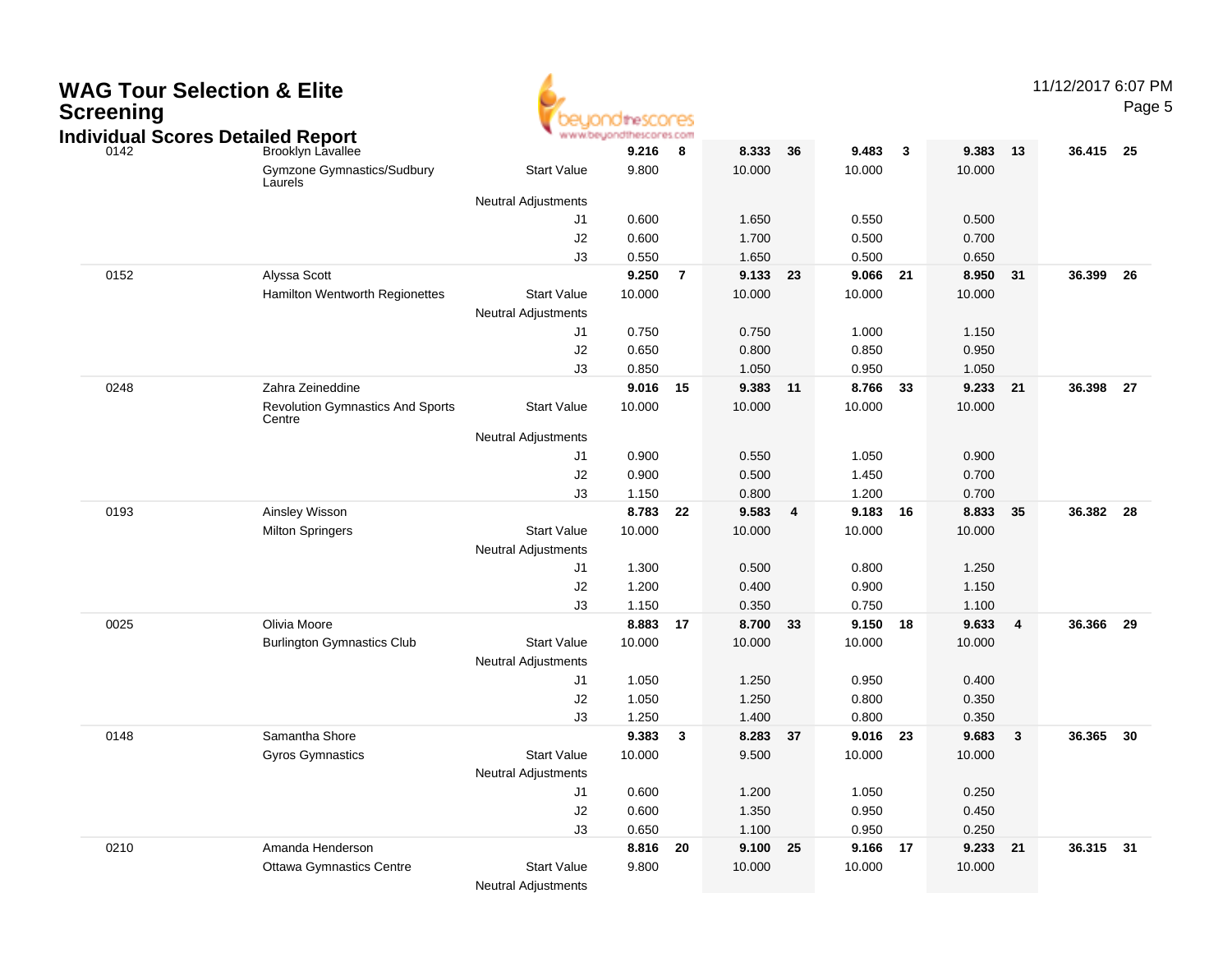| <b>WAG Tour Selection &amp; Elite</b><br><b>Screening</b><br><b>Individual Scores Detailed Report</b> |                                                        |                                              | dtheSCONES<br>www.beyondthescores.com |      |                 |    |                 |                  |                 |    | 11/12/2017 6:07 PM | Page 5 |
|-------------------------------------------------------------------------------------------------------|--------------------------------------------------------|----------------------------------------------|---------------------------------------|------|-----------------|----|-----------------|------------------|-----------------|----|--------------------|--------|
| 0142                                                                                                  | Brooklyn Lavallee<br><b>Gymzone Gymnastics/Sudbury</b> | <b>Start Value</b>                           | 9.216<br>9.800                        | 8    | 8.333<br>10.000 | 36 | 9.483<br>10.000 | $\boldsymbol{3}$ | 9.383<br>10.000 | 13 | 36.415             | - 25   |
|                                                                                                       | Laurels                                                |                                              |                                       |      |                 |    |                 |                  |                 |    |                    |        |
|                                                                                                       |                                                        | <b>Neutral Adjustments</b><br>J <sub>1</sub> | 0.600                                 |      | 1.650           |    | 0.550           |                  | 0.500           |    |                    |        |
|                                                                                                       |                                                        | $\sf J2$                                     | 0.600                                 |      | 1.700           |    | 0.500           |                  | 0.700           |    |                    |        |
|                                                                                                       |                                                        | J3                                           | 0.550                                 |      | 1.650           |    | 0.500           |                  | 0.650           |    |                    |        |
| 0152                                                                                                  | Alyssa Scott                                           |                                              | 9.250                                 | -7   | 9.133           | 23 | 9.066           | -21              | 8.950           | 31 | 36.399             | 26     |
|                                                                                                       | Hamilton Wentworth Regionettes                         | <b>Start Value</b>                           | 10.000                                |      | 10.000          |    | 10.000          |                  | 10.000          |    |                    |        |
|                                                                                                       |                                                        | <b>Neutral Adjustments</b>                   |                                       |      |                 |    |                 |                  |                 |    |                    |        |
|                                                                                                       |                                                        | J <sub>1</sub>                               | 0.750                                 |      | 0.750           |    | 1.000           |                  | 1.150           |    |                    |        |
|                                                                                                       |                                                        | J2                                           | 0.650                                 |      | 0.800           |    | 0.850           |                  | 0.950           |    |                    |        |
|                                                                                                       |                                                        | J3                                           | 0.850                                 |      | 1.050           |    | 0.950           |                  | 1.050           |    |                    |        |
| 0248                                                                                                  | Zahra Zeineddine                                       |                                              | 9.016                                 | - 15 | 9.383           | 11 | 8.766           | 33               | 9.233           | 21 | 36.398             | 27     |
|                                                                                                       | <b>Revolution Gymnastics And Sports</b><br>Centre      | <b>Start Value</b>                           | 10.000                                |      | 10.000          |    | 10.000          |                  | 10.000          |    |                    |        |
|                                                                                                       |                                                        | <b>Neutral Adjustments</b>                   |                                       |      |                 |    |                 |                  |                 |    |                    |        |
|                                                                                                       |                                                        | J1                                           | 0.900                                 |      | 0.550           |    | 1.050           |                  | 0.900           |    |                    |        |
|                                                                                                       |                                                        | J2                                           | 0.900                                 |      | 0.500           |    | 1.450           |                  | 0.700           |    |                    |        |
|                                                                                                       |                                                        | J3                                           | 1.150                                 |      | 0.800           |    | 1.200           |                  | 0.700           |    |                    |        |
| 0193                                                                                                  | Ainsley Wisson                                         |                                              | 8.783                                 | 22   | 9.583           | 4  | 9.183           | - 16             | 8.833           | 35 | 36.382             | -28    |
|                                                                                                       | <b>Milton Springers</b>                                | <b>Start Value</b>                           | 10.000                                |      | 10.000          |    | 10.000          |                  | 10.000          |    |                    |        |
|                                                                                                       |                                                        | <b>Neutral Adjustments</b>                   |                                       |      |                 |    |                 |                  |                 |    |                    |        |
|                                                                                                       |                                                        | J1                                           | 1.300                                 |      | 0.500           |    | 0.800           |                  | 1.250           |    |                    |        |
|                                                                                                       |                                                        | J2                                           | 1.200                                 |      | 0.400           |    | 0.900           |                  | 1.150           |    |                    |        |
|                                                                                                       |                                                        | J3                                           | 1.150                                 |      | 0.350           |    | 0.750           |                  | 1.100           |    |                    |        |
| 0025                                                                                                  | Olivia Moore                                           |                                              | 8.883 17                              |      | 8.700           | 33 | 9.150 18        |                  | 9.633           | 4  | 36.366             | 29     |
|                                                                                                       | <b>Burlington Gymnastics Club</b>                      | <b>Start Value</b>                           | 10.000                                |      | 10.000          |    | 10.000          |                  | 10.000          |    |                    |        |
|                                                                                                       |                                                        | <b>Neutral Adjustments</b>                   |                                       |      |                 |    |                 |                  |                 |    |                    |        |
|                                                                                                       |                                                        | J1                                           | 1.050                                 |      | 1.250           |    | 0.950           |                  | 0.400           |    |                    |        |
|                                                                                                       |                                                        | J <sub>2</sub>                               | 1.050                                 |      | 1.250           |    | 0.800           |                  | 0.350           |    |                    |        |
| 0148                                                                                                  | Samantha Shore                                         | J3                                           | 1.250                                 |      | 1.400           |    | 0.800<br>9.016  |                  | 0.350           |    | 36.365             | 30     |
|                                                                                                       |                                                        |                                              | 9.383                                 | -3   | 8.283           | 37 |                 | 23               | 9.683           | 3  |                    |        |
|                                                                                                       | <b>Gyros Gymnastics</b>                                | <b>Start Value</b>                           | 10.000                                |      | 9.500           |    | 10.000          |                  | 10.000          |    |                    |        |
|                                                                                                       |                                                        | <b>Neutral Adjustments</b><br>J1             | 0.600                                 |      | 1.200           |    | 1.050           |                  | 0.250           |    |                    |        |
|                                                                                                       |                                                        | $\sf J2$                                     | 0.600                                 |      | 1.350           |    | 0.950           |                  | 0.450           |    |                    |        |
|                                                                                                       |                                                        | J3                                           | 0.650                                 |      | 1.100           |    | 0.950           |                  | 0.250           |    |                    |        |
| 0210                                                                                                  | Amanda Henderson                                       |                                              | 8.816 20                              |      | 9.100 25        |    | 9.166 17        |                  | 9.233 21        |    | 36.315 31          |        |
|                                                                                                       | <b>Ottawa Gymnastics Centre</b>                        | <b>Start Value</b>                           | 9.800                                 |      | 10.000          |    | 10.000          |                  | 10.000          |    |                    |        |
|                                                                                                       |                                                        | Neutral Adjustments                          |                                       |      |                 |    |                 |                  |                 |    |                    |        |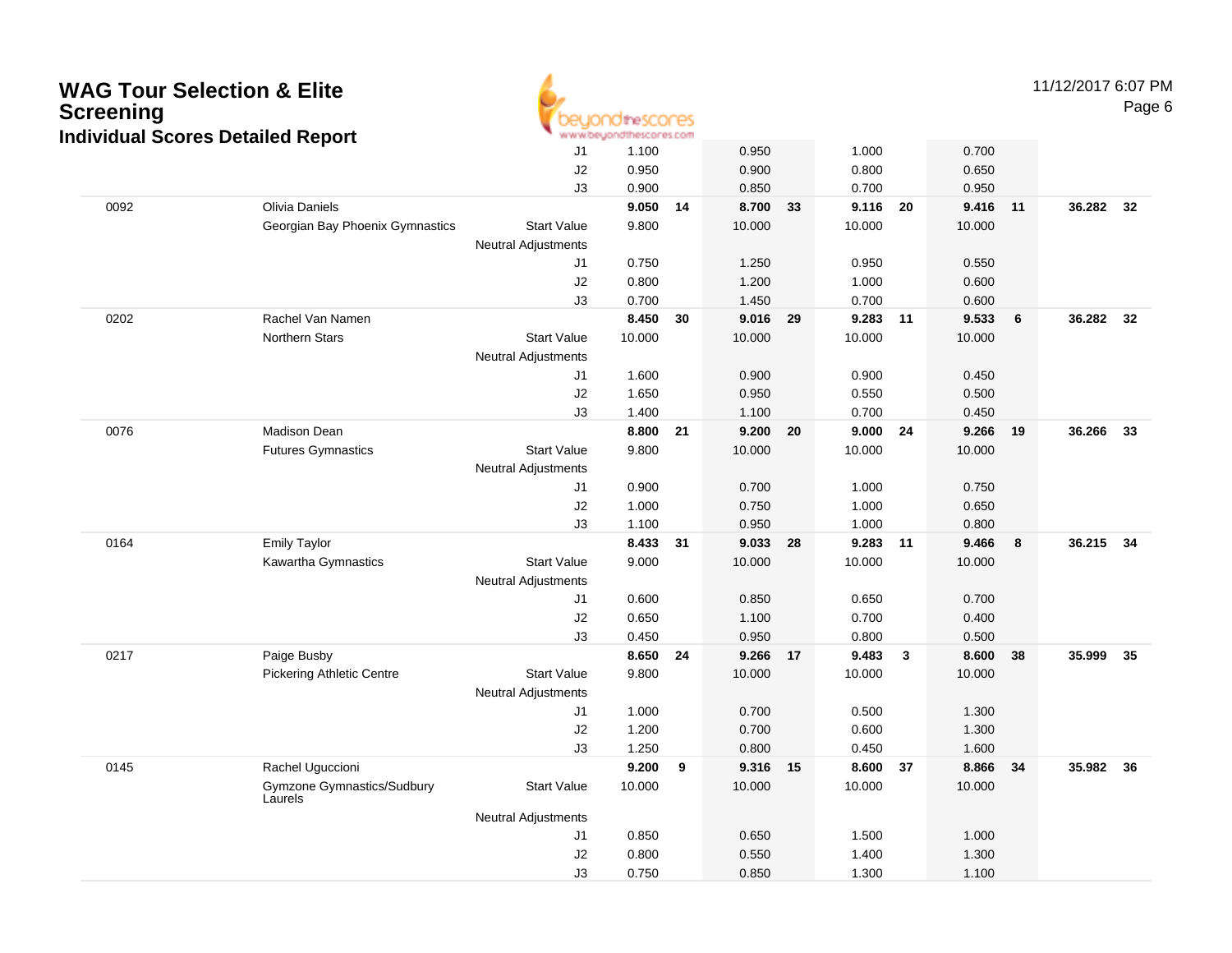| <b>WAG Tour Selection &amp; Elite</b><br><b>Screening</b><br><b>Individual Scores Detailed Report</b> |                                                 |                            | nescores<br>www.beyondthescores.com |    |                         |    |                         |              |                         |    | 11/12/2017 6:07 PM | Page 6 |
|-------------------------------------------------------------------------------------------------------|-------------------------------------------------|----------------------------|-------------------------------------|----|-------------------------|----|-------------------------|--------------|-------------------------|----|--------------------|--------|
|                                                                                                       |                                                 | J <sub>1</sub><br>J2<br>J3 | 1.100<br>0.950<br>0.900             |    | 0.950<br>0.900<br>0.850 |    | 1.000<br>0.800<br>0.700 |              | 0.700<br>0.650<br>0.950 |    |                    |        |
| 0092                                                                                                  | Olivia Daniels                                  |                            | 9.050 14                            |    | 8.700                   | 33 | 9.116                   | 20           | 9.416                   | 11 | 36.282 32          |        |
|                                                                                                       | Georgian Bay Phoenix Gymnastics                 | <b>Start Value</b>         | 9.800                               |    | 10.000                  |    | 10.000                  |              | 10.000                  |    |                    |        |
|                                                                                                       |                                                 | <b>Neutral Adjustments</b> |                                     |    |                         |    |                         |              |                         |    |                    |        |
|                                                                                                       |                                                 | J1                         | 0.750                               |    | 1.250                   |    | 0.950                   |              | 0.550                   |    |                    |        |
|                                                                                                       |                                                 | J2                         | 0.800                               |    | 1.200                   |    | 1.000                   |              | 0.600                   |    |                    |        |
| 0202                                                                                                  | Rachel Van Namen                                | J3                         | 0.700<br>8.450 30                   |    | 1.450<br>9.016          | 29 | 0.700<br>9.283          | 11           | 0.600<br>9.533          | 6  | 36.282 32          |        |
|                                                                                                       | Northern Stars                                  | <b>Start Value</b>         | 10.000                              |    | 10.000                  |    | 10.000                  |              | 10.000                  |    |                    |        |
|                                                                                                       |                                                 | <b>Neutral Adjustments</b> |                                     |    |                         |    |                         |              |                         |    |                    |        |
|                                                                                                       |                                                 | J1                         | 1.600                               |    | 0.900                   |    | 0.900                   |              | 0.450                   |    |                    |        |
|                                                                                                       |                                                 | J2                         | 1.650                               |    | 0.950                   |    | 0.550                   |              | 0.500                   |    |                    |        |
|                                                                                                       |                                                 | J3                         | 1.400                               |    | 1.100                   |    | 0.700                   |              | 0.450                   |    |                    |        |
| 0076                                                                                                  | Madison Dean                                    |                            | 8.800                               | 21 | 9.200                   | 20 | 9.000                   | 24           | 9.266                   | 19 | 36.266             | 33     |
|                                                                                                       | <b>Futures Gymnastics</b>                       | <b>Start Value</b>         | 9.800                               |    | 10.000                  |    | 10.000                  |              | 10.000                  |    |                    |        |
|                                                                                                       |                                                 | <b>Neutral Adjustments</b> |                                     |    |                         |    |                         |              |                         |    |                    |        |
|                                                                                                       |                                                 | J1                         | 0.900                               |    | 0.700                   |    | 1.000                   |              | 0.750                   |    |                    |        |
|                                                                                                       |                                                 | J2                         | 1.000                               |    | 0.750                   |    | 1.000                   |              | 0.650                   |    |                    |        |
|                                                                                                       |                                                 | J3                         | 1.100                               |    | 0.950                   |    | 1.000                   |              | 0.800                   |    |                    |        |
| 0164                                                                                                  | <b>Emily Taylor</b>                             |                            | 8.433 31                            |    | 9.033                   | 28 | 9.283                   | 11           | 9.466                   | 8  | 36.215 34          |        |
|                                                                                                       | Kawartha Gymnastics                             | <b>Start Value</b>         | 9.000                               |    | 10.000                  |    | 10.000                  |              | 10.000                  |    |                    |        |
|                                                                                                       |                                                 | <b>Neutral Adjustments</b> |                                     |    |                         |    |                         |              |                         |    |                    |        |
|                                                                                                       |                                                 | J1                         | 0.600                               |    | 0.850                   |    | 0.650                   |              | 0.700                   |    |                    |        |
|                                                                                                       |                                                 | J2                         | 0.650                               |    | 1.100                   |    | 0.700                   |              | 0.400                   |    |                    |        |
|                                                                                                       |                                                 | J3                         | 0.450<br>8.650 24                   |    | 0.950                   |    | 0.800<br>9.483          |              | 0.500<br>8.600          |    | 35.999             | 35     |
| 0217                                                                                                  | Paige Busby<br><b>Pickering Athletic Centre</b> | <b>Start Value</b>         | 9.800                               |    | 9.266<br>10.000         | 17 | 10.000                  | $\mathbf{3}$ | 10.000                  | 38 |                    |        |
|                                                                                                       |                                                 | <b>Neutral Adjustments</b> |                                     |    |                         |    |                         |              |                         |    |                    |        |
|                                                                                                       |                                                 | J1                         | 1.000                               |    | 0.700                   |    | 0.500                   |              | 1.300                   |    |                    |        |
|                                                                                                       |                                                 | J2                         | 1.200                               |    | 0.700                   |    | 0.600                   |              | 1.300                   |    |                    |        |
|                                                                                                       |                                                 | J3                         | 1.250                               |    | 0.800                   |    | 0.450                   |              | 1.600                   |    |                    |        |
| 0145                                                                                                  | Rachel Uguccioni                                |                            | 9.200                               | 9  | 9.316                   | 15 | 8.600                   | 37           | 8.866                   | 34 | 35.982 36          |        |
|                                                                                                       | Gymzone Gymnastics/Sudbury<br>Laurels           | <b>Start Value</b>         | 10.000                              |    | 10.000                  |    | 10.000                  |              | 10.000                  |    |                    |        |
|                                                                                                       |                                                 | <b>Neutral Adjustments</b> |                                     |    |                         |    |                         |              |                         |    |                    |        |
|                                                                                                       |                                                 | J1                         | 0.850                               |    | 0.650                   |    | 1.500                   |              | 1.000                   |    |                    |        |

A

J2

J3

0.800 0.550 1.400 1.300

0.750 0.850 1.300 1.100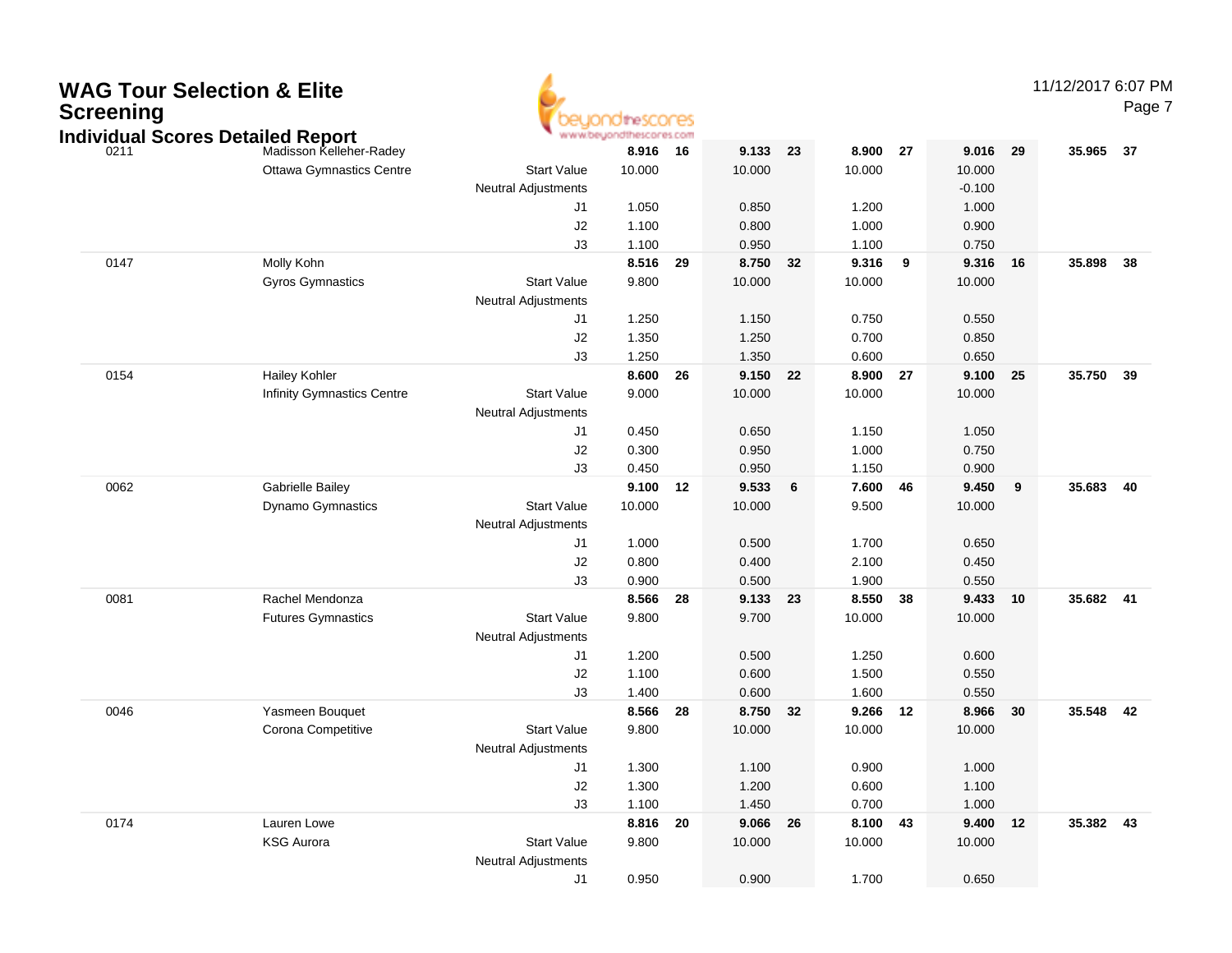

### 11/12/2017 6:07 PM

Page 7

|      | ndividual Scores Detailed Report  |                            | * www.beyondthescores.com |    |          |                 |          |                         |          |    |        |      |
|------|-----------------------------------|----------------------------|---------------------------|----|----------|-----------------|----------|-------------------------|----------|----|--------|------|
| 0211 | Madisson Kelleher-Radey           |                            | 8.916 16                  |    | 9.133 23 |                 | 8.900 27 |                         | 9.016    | 29 | 35.965 | - 37 |
|      | <b>Ottawa Gymnastics Centre</b>   | <b>Start Value</b>         | 10.000                    |    | 10.000   |                 | 10.000   |                         | 10.000   |    |        |      |
|      |                                   | Neutral Adjustments        |                           |    |          |                 |          |                         | $-0.100$ |    |        |      |
|      |                                   | J1                         | 1.050                     |    | 0.850    |                 | 1.200    |                         | 1.000    |    |        |      |
|      |                                   | J2                         | 1.100                     |    | 0.800    |                 | 1.000    |                         | 0.900    |    |        |      |
|      |                                   | J3                         | 1.100                     |    | 0.950    |                 | 1.100    |                         | 0.750    |    |        |      |
| 0147 | Molly Kohn                        |                            | 8.516                     | 29 | 8.750    | 32              | 9.316    | $\overline{\mathbf{9}}$ | 9.316    | 16 | 35.898 | 38   |
|      | <b>Gyros Gymnastics</b>           | <b>Start Value</b>         | 9.800                     |    | 10.000   |                 | 10.000   |                         | 10.000   |    |        |      |
|      |                                   | <b>Neutral Adjustments</b> |                           |    |          |                 |          |                         |          |    |        |      |
|      |                                   | J1                         | 1.250                     |    | 1.150    |                 | 0.750    |                         | 0.550    |    |        |      |
|      |                                   | J2                         | 1.350                     |    | 1.250    |                 | 0.700    |                         | 0.850    |    |        |      |
|      |                                   | J3                         | 1.250                     |    | 1.350    |                 | 0.600    |                         | 0.650    |    |        |      |
| 0154 | <b>Hailey Kohler</b>              |                            | 8.600                     | 26 | 9.150 22 |                 | 8.900 27 |                         | 9.100    | 25 | 35.750 | 39   |
|      | <b>Infinity Gymnastics Centre</b> | <b>Start Value</b>         | 9.000                     |    | 10.000   |                 | 10.000   |                         | 10.000   |    |        |      |
|      |                                   | Neutral Adjustments        |                           |    |          |                 |          |                         |          |    |        |      |
|      |                                   | J1                         | 0.450                     |    | 0.650    |                 | 1.150    |                         | 1.050    |    |        |      |
|      |                                   | $\sf J2$                   | 0.300                     |    | 0.950    |                 | 1.000    |                         | 0.750    |    |        |      |
|      |                                   | J3                         | 0.450                     |    | 0.950    |                 | 1.150    |                         | 0.900    |    |        |      |
| 0062 | <b>Gabrielle Bailey</b>           |                            | 9.100                     | 12 | 9.533    | $6\phantom{1}6$ | 7.600    | 46                      | 9.450    | 9  | 35.683 | 40   |
|      | Dynamo Gymnastics                 | <b>Start Value</b>         | 10.000                    |    | 10.000   |                 | 9.500    |                         | 10.000   |    |        |      |
|      |                                   | <b>Neutral Adjustments</b> |                           |    |          |                 |          |                         |          |    |        |      |
|      |                                   | J1                         | 1.000                     |    | 0.500    |                 | 1.700    |                         | 0.650    |    |        |      |
|      |                                   | $\sf J2$                   | 0.800                     |    | 0.400    |                 | 2.100    |                         | 0.450    |    |        |      |
|      |                                   | J3                         | 0.900                     |    | 0.500    |                 | 1.900    |                         | 0.550    |    |        |      |
| 0081 | Rachel Mendonza                   |                            | 8.566                     | 28 | 9.133 23 |                 | 8.550    | 38                      | 9.433    | 10 | 35.682 | 41   |
|      | <b>Futures Gymnastics</b>         | <b>Start Value</b>         | 9.800                     |    | 9.700    |                 | 10.000   |                         | 10.000   |    |        |      |
|      |                                   | <b>Neutral Adjustments</b> |                           |    |          |                 |          |                         |          |    |        |      |
|      |                                   | J1                         | 1.200                     |    | 0.500    |                 | 1.250    |                         | 0.600    |    |        |      |
|      |                                   | J2                         | 1.100                     |    | 0.600    |                 | 1.500    |                         | 0.550    |    |        |      |
|      |                                   | J3                         | 1.400                     |    | 0.600    |                 | 1.600    |                         | 0.550    |    |        |      |
| 0046 | Yasmeen Bouquet                   |                            | 8.566                     | 28 | 8.750    | 32              | 9.266    | 12                      | 8.966    | 30 | 35.548 | - 42 |
|      | Corona Competitive                | <b>Start Value</b>         | 9.800                     |    | 10.000   |                 | 10.000   |                         | 10.000   |    |        |      |
|      |                                   | <b>Neutral Adjustments</b> |                           |    |          |                 |          |                         |          |    |        |      |
|      |                                   | J1                         | 1.300                     |    | 1.100    |                 | 0.900    |                         | 1.000    |    |        |      |
|      |                                   | J2                         | 1.300                     |    | 1.200    |                 | 0.600    |                         | 1.100    |    |        |      |
|      |                                   | JЗ                         | 1.100                     |    | 1.450    |                 | 0.700    |                         | 1.000    |    |        |      |
| 0174 | Lauren Lowe                       |                            | 8.816                     | 20 | 9.066    | 26              | 8.100    | 43                      | 9.400    | 12 | 35.382 | 43   |
|      | <b>KSG Aurora</b>                 | <b>Start Value</b>         | 9.800                     |    | 10.000   |                 | 10.000   |                         | 10.000   |    |        |      |
|      |                                   | <b>Neutral Adjustments</b> |                           |    |          |                 |          |                         |          |    |        |      |
|      |                                   | J1                         | 0.950                     |    | 0.900    |                 | 1.700    |                         | 0.650    |    |        |      |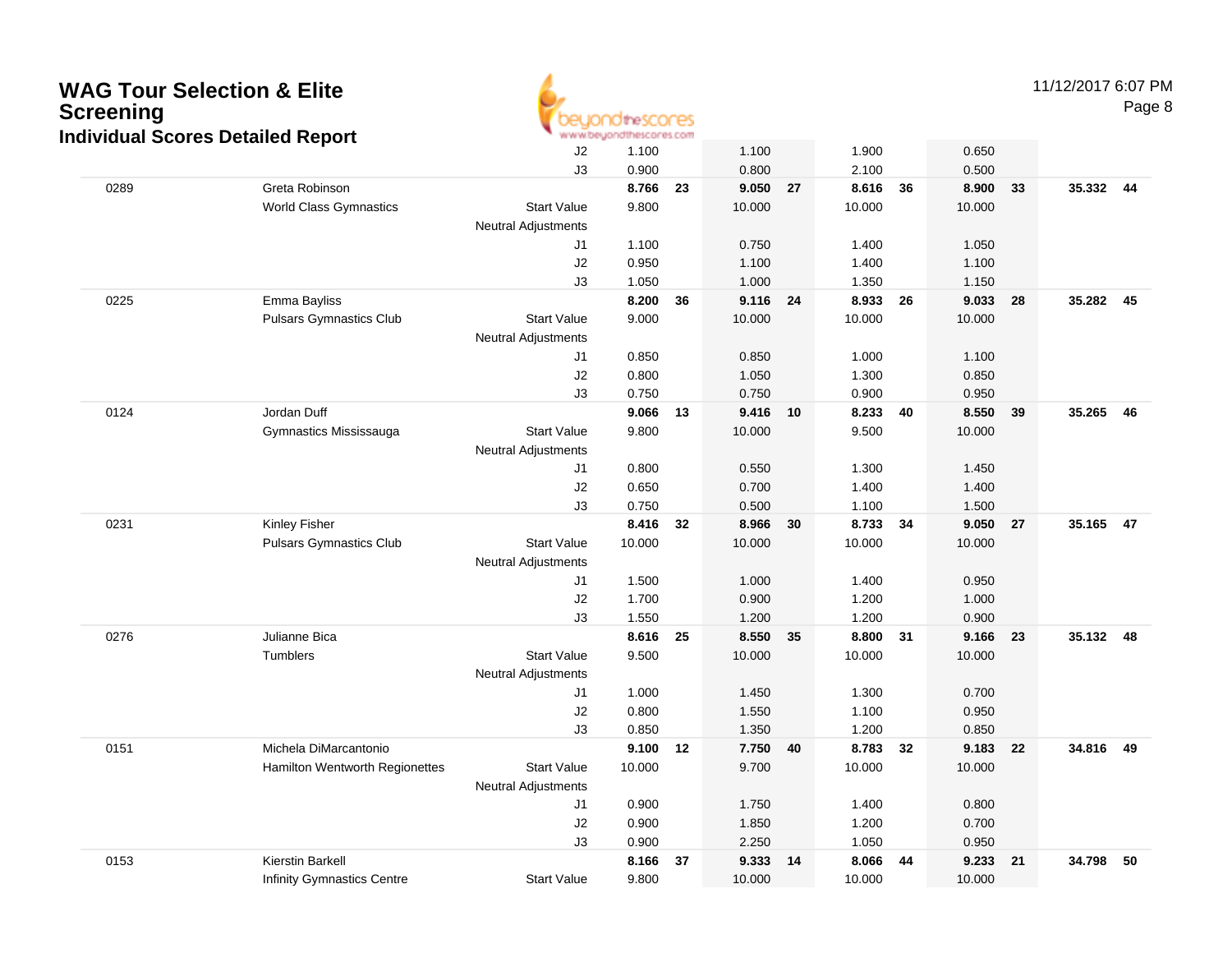

11/12/2017 6:07 PM

Page 8

|      | vidual Oborco Dolanca Report      | $\sf J2$<br>J3             | 1.100<br>0.900 |    | 1.100<br>0.800 |    | 1.900<br>2.100 |    | 0.650<br>0.500    |    |           |    |
|------|-----------------------------------|----------------------------|----------------|----|----------------|----|----------------|----|-------------------|----|-----------|----|
| 0289 | Greta Robinson                    |                            | 8.766          | 23 | 9.050          | 27 | 8.616          | 36 | 8.900             | 33 | 35.332 44 |    |
|      | <b>World Class Gymnastics</b>     | <b>Start Value</b>         | 9.800          |    | 10.000         |    | 10.000         |    | 10.000            |    |           |    |
|      |                                   | <b>Neutral Adjustments</b> |                |    |                |    |                |    |                   |    |           |    |
|      |                                   | J1                         | 1.100          |    | 0.750          |    | 1.400          |    | 1.050             |    |           |    |
|      |                                   | J2                         | 0.950          |    | 1.100          |    | 1.400          |    | 1.100             |    |           |    |
|      |                                   | J3                         | 1.050          |    | 1.000          |    | 1.350          |    | 1.150             |    |           |    |
| 0225 | Emma Bayliss                      |                            | 8.200          | 36 | 9.116 24       |    | 8.933          | 26 | 9.033             | 28 | 35.282 45 |    |
|      | <b>Pulsars Gymnastics Club</b>    | <b>Start Value</b>         | 9.000          |    | 10.000         |    | 10.000         |    | 10.000            |    |           |    |
|      |                                   | <b>Neutral Adjustments</b> |                |    |                |    |                |    |                   |    |           |    |
|      |                                   | J1                         | 0.850          |    | 0.850          |    | 1.000          |    | 1.100             |    |           |    |
|      |                                   | J2                         | 0.800          |    | 1.050          |    | 1.300          |    | 0.850             |    |           |    |
|      |                                   | J3                         | 0.750          |    | 0.750          |    | 0.900          |    | 0.950             |    |           |    |
| 0124 | Jordan Duff                       |                            | 9.066          | 13 | 9.416 10       |    | 8.233          | 40 | 8.550             | 39 | 35.265 46 |    |
|      | Gymnastics Mississauga            | <b>Start Value</b>         | 9.800          |    | 10.000         |    | 9.500          |    | 10.000            |    |           |    |
|      |                                   | <b>Neutral Adjustments</b> |                |    |                |    |                |    |                   |    |           |    |
|      |                                   | J1                         | 0.800          |    | 0.550          |    | 1.300          |    | 1.450             |    |           |    |
|      |                                   | J2                         | 0.650          |    | 0.700          |    | 1.400          |    | 1.400             |    |           |    |
|      |                                   | J3                         | 0.750          |    | 0.500          |    | 1.100          |    | 1.500             |    |           |    |
| 0231 | Kinley Fisher                     |                            | 8.416          | 32 | 8.966          | 30 | 8.733 34       |    | 9.050 27          |    | 35.165 47 |    |
|      | <b>Pulsars Gymnastics Club</b>    | <b>Start Value</b>         | 10.000         |    | 10.000         |    | 10.000         |    | 10.000            |    |           |    |
|      |                                   | <b>Neutral Adjustments</b> |                |    |                |    |                |    |                   |    |           |    |
|      |                                   | J1                         | 1.500          |    | 1.000          |    | 1.400          |    | 0.950             |    |           |    |
|      |                                   | J2                         | 1.700          |    | 0.900          |    | 1.200          |    | 1.000             |    |           |    |
|      |                                   | J3                         | 1.550          |    | 1.200          |    | 1.200          |    | 0.900             |    |           |    |
| 0276 | Julianne Bica                     |                            | 8.616          | 25 | 8.550          | 35 | 8.800          | 31 | 9.166 23          |    | 35.132 48 |    |
|      | Tumblers                          | <b>Start Value</b>         | 9.500          |    | 10.000         |    | 10.000         |    | 10.000            |    |           |    |
|      |                                   | <b>Neutral Adjustments</b> |                |    |                |    |                |    |                   |    |           |    |
|      |                                   | J1                         | 1.000          |    | 1.450          |    | 1.300          |    | 0.700             |    |           |    |
|      |                                   | J2                         | 0.800          |    | 1.550          |    | 1.100          |    | 0.950             |    |           |    |
| 0151 | Michela DiMarcantonio             | J3                         | 0.850<br>9.100 |    | 1.350<br>7.750 | 40 | 1.200<br>8.783 | 32 | 0.850<br>9.183 22 |    | 34.816    | 49 |
|      | Hamilton Wentworth Regionettes    | <b>Start Value</b>         | 10.000         | 12 | 9.700          |    | 10.000         |    | 10.000            |    |           |    |
|      |                                   | <b>Neutral Adjustments</b> |                |    |                |    |                |    |                   |    |           |    |
|      |                                   | J1                         | 0.900          |    | 1.750          |    | 1.400          |    | 0.800             |    |           |    |
|      |                                   | J2                         | 0.900          |    | 1.850          |    | 1.200          |    | 0.700             |    |           |    |
|      |                                   | J3                         | 0.900          |    | 2.250          |    | 1.050          |    | 0.950             |    |           |    |
| 0153 | Kierstin Barkell                  |                            | 8.166          | 37 | 9.333          | 14 | 8.066          | 44 | 9.233             | 21 | 34.798    | 50 |
|      | <b>Infinity Gymnastics Centre</b> | <b>Start Value</b>         | 9.800          |    | 10.000         |    | 10.000         |    | 10.000            |    |           |    |
|      |                                   |                            |                |    |                |    |                |    |                   |    |           |    |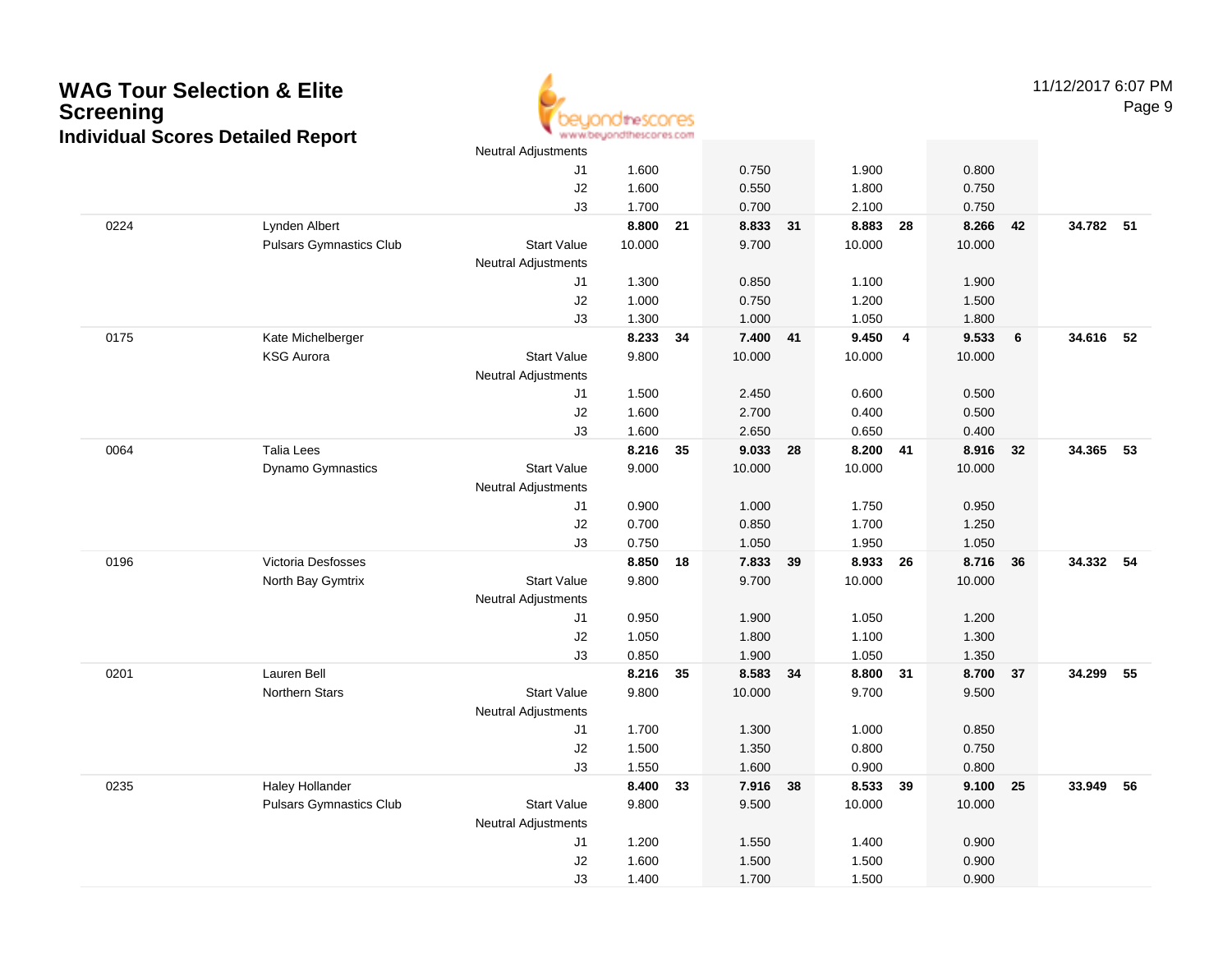

11/12/2017 6:07 PMPage 9

|      |                                | Neutral Adjustments        |          |    |          |    |          |                |        |    |           |    |
|------|--------------------------------|----------------------------|----------|----|----------|----|----------|----------------|--------|----|-----------|----|
|      |                                | J1                         | 1.600    |    | 0.750    |    | 1.900    |                | 0.800  |    |           |    |
|      |                                | J2                         | 1.600    |    | 0.550    |    | 1.800    |                | 0.750  |    |           |    |
|      |                                | J3                         | 1.700    |    | 0.700    |    | 2.100    |                | 0.750  |    |           |    |
| 0224 | Lynden Albert                  |                            | 8.800    | 21 | 8.833 31 |    | 8.883    | 28             | 8.266  | 42 | 34.782 51 |    |
|      | <b>Pulsars Gymnastics Club</b> | <b>Start Value</b>         | 10.000   |    | 9.700    |    | 10.000   |                | 10.000 |    |           |    |
|      |                                | Neutral Adjustments        |          |    |          |    |          |                |        |    |           |    |
|      |                                | J1                         | 1.300    |    | 0.850    |    | 1.100    |                | 1.900  |    |           |    |
|      |                                | J2                         | 1.000    |    | 0.750    |    | 1.200    |                | 1.500  |    |           |    |
|      |                                | J3                         | 1.300    |    | 1.000    |    | 1.050    |                | 1.800  |    |           |    |
| 0175 | Kate Michelberger              |                            | 8.233    | 34 | 7.400 41 |    | 9.450    | $\overline{4}$ | 9.533  | 6  | 34.616    | 52 |
|      | <b>KSG Aurora</b>              | <b>Start Value</b>         | 9.800    |    | 10.000   |    | 10.000   |                | 10.000 |    |           |    |
|      |                                | Neutral Adjustments        |          |    |          |    |          |                |        |    |           |    |
|      |                                | J1                         | 1.500    |    | 2.450    |    | 0.600    |                | 0.500  |    |           |    |
|      |                                | J2                         | 1.600    |    | 2.700    |    | 0.400    |                | 0.500  |    |           |    |
|      |                                | J3                         | 1.600    |    | 2.650    |    | 0.650    |                | 0.400  |    |           |    |
| 0064 | <b>Talia Lees</b>              |                            | 8.216    | 35 | 9.033 28 |    | 8.200 41 |                | 8.916  | 32 | 34.365    | 53 |
|      | Dynamo Gymnastics              | <b>Start Value</b>         | 9.000    |    | 10.000   |    | 10.000   |                | 10.000 |    |           |    |
|      |                                | <b>Neutral Adjustments</b> |          |    |          |    |          |                |        |    |           |    |
|      |                                | J1                         | 0.900    |    | 1.000    |    | 1.750    |                | 0.950  |    |           |    |
|      |                                | J2                         | 0.700    |    | 0.850    |    | 1.700    |                | 1.250  |    |           |    |
|      |                                | J3                         | 0.750    |    | 1.050    |    | 1.950    |                | 1.050  |    |           |    |
| 0196 | Victoria Desfosses             |                            | 8.850    | 18 | 7.833    | 39 | 8.933    | - 26           | 8.716  | 36 | 34.332 54 |    |
|      | North Bay Gymtrix              | <b>Start Value</b>         | 9.800    |    | 9.700    |    | 10.000   |                | 10.000 |    |           |    |
|      |                                | Neutral Adjustments        |          |    |          |    |          |                |        |    |           |    |
|      |                                | J1                         | 0.950    |    | 1.900    |    | 1.050    |                | 1.200  |    |           |    |
|      |                                | J2                         | 1.050    |    | 1.800    |    | 1.100    |                | 1.300  |    |           |    |
|      |                                | J3                         | 0.850    |    | 1.900    |    | 1.050    |                | 1.350  |    |           |    |
| 0201 | Lauren Bell                    |                            | 8.216 35 |    | 8.583 34 |    | 8.800 31 |                | 8.700  | 37 | 34.299    | 55 |
|      | <b>Northern Stars</b>          | <b>Start Value</b>         | 9.800    |    | 10.000   |    | 9.700    |                | 9.500  |    |           |    |
|      |                                | <b>Neutral Adjustments</b> |          |    |          |    |          |                |        |    |           |    |
|      |                                | J1                         | 1.700    |    | 1.300    |    | 1.000    |                | 0.850  |    |           |    |
|      |                                | J2                         | 1.500    |    | 1.350    |    | 0.800    |                | 0.750  |    |           |    |
|      |                                | J3                         | 1.550    |    | 1.600    |    | 0.900    |                | 0.800  |    |           |    |
| 0235 | Haley Hollander                |                            | 8.400    | 33 | 7.916 38 |    | 8.533    | 39             | 9.100  | 25 | 33.949    | 56 |
|      | <b>Pulsars Gymnastics Club</b> | <b>Start Value</b>         | 9.800    |    | 9.500    |    | 10.000   |                | 10.000 |    |           |    |
|      |                                | Neutral Adjustments        |          |    |          |    |          |                |        |    |           |    |
|      |                                | J1                         | 1.200    |    | 1.550    |    | 1.400    |                | 0.900  |    |           |    |
|      |                                | J2                         | 1.600    |    | 1.500    |    | 1.500    |                | 0.900  |    |           |    |
|      |                                | J3                         | 1.400    |    | 1.700    |    | 1.500    |                | 0.900  |    |           |    |